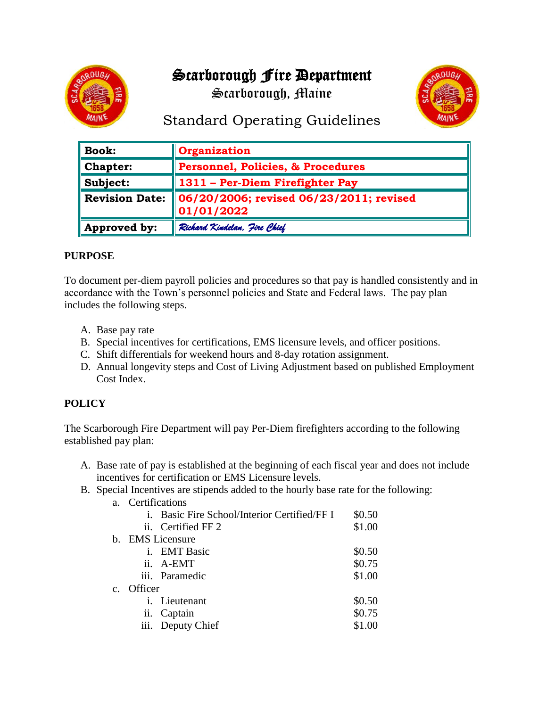# Scarborough Fire Department



Scarborough, Maine



## Standard Operating Guidelines

| $\parallel$ Book:       | Organization                                          |  |  |  |  |  |  |
|-------------------------|-------------------------------------------------------|--|--|--|--|--|--|
| $\blacksquare$ Chapter: | <b>Personnel, Policies, &amp; Procedures</b>          |  |  |  |  |  |  |
| $\parallel$ Subject:    | 1311 - Per-Diem Firefighter Pay                       |  |  |  |  |  |  |
| Revision Date:          | 06/20/2006; revised 06/23/2011; revised<br>01/01/2022 |  |  |  |  |  |  |
| Approved by:            | Richard Kindelan, Jire Chief                          |  |  |  |  |  |  |

## **PURPOSE**

To document per-diem payroll policies and procedures so that pay is handled consistently and in accordance with the Town's personnel policies and State and Federal laws. The pay plan includes the following steps.

- A. Base pay rate
- B. Special incentives for certifications, EMS licensure levels, and officer positions.
- C. Shift differentials for weekend hours and 8-day rotation assignment.
- D. Annual longevity steps and Cost of Living Adjustment based on published Employment Cost Index.

## **POLICY**

The Scarborough Fire Department will pay Per-Diem firefighters according to the following established pay plan:

- A. Base rate of pay is established at the beginning of each fiscal year and does not include incentives for certification or EMS Licensure levels.
- B. Special Incentives are stipends added to the hourly base rate for the following:

| a.             | Certifications |                                              |        |  |  |  |  |  |
|----------------|----------------|----------------------------------------------|--------|--|--|--|--|--|
|                |                | i. Basic Fire School/Interior Certified/FF I | \$0.50 |  |  |  |  |  |
|                |                | ii. Certified FF 2                           | \$1.00 |  |  |  |  |  |
|                |                | b. EMS Licensure                             |        |  |  |  |  |  |
|                |                | i. EMT Basic                                 | \$0.50 |  |  |  |  |  |
|                |                | ii. A-EMT                                    | \$0.75 |  |  |  |  |  |
|                |                | iii. Paramedic                               | \$1.00 |  |  |  |  |  |
| $\mathbf{c}$ . | Officer        |                                              |        |  |  |  |  |  |
|                |                | i. Lieutenant                                | \$0.50 |  |  |  |  |  |
|                |                | ii. Captain                                  | \$0.75 |  |  |  |  |  |
|                |                | iii. Deputy Chief                            | \$1.00 |  |  |  |  |  |
|                |                |                                              |        |  |  |  |  |  |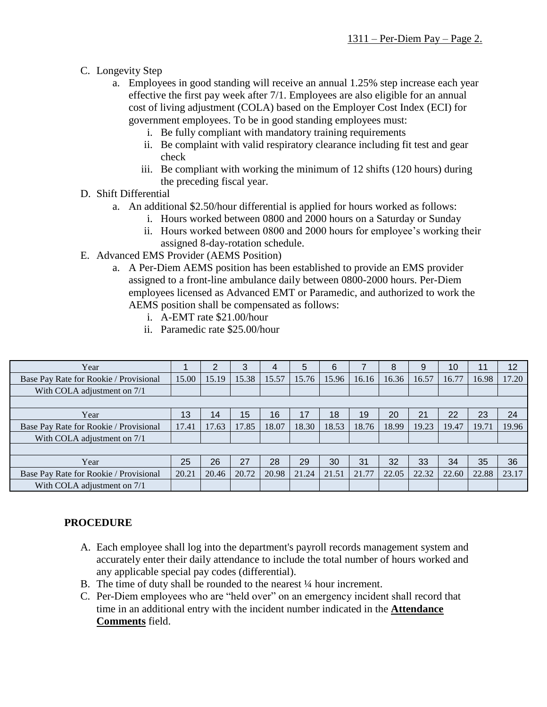- C. Longevity Step
	- a. Employees in good standing will receive an annual 1.25% step increase each year effective the first pay week after 7/1. Employees are also eligible for an annual cost of living adjustment (COLA) based on the Employer Cost Index (ECI) for government employees. To be in good standing employees must:
		- i. Be fully compliant with mandatory training requirements
		- ii. Be complaint with valid respiratory clearance including fit test and gear check
		- iii. Be compliant with working the minimum of 12 shifts (120 hours) during the preceding fiscal year.
- D. Shift Differential
	- a. An additional \$2.50/hour differential is applied for hours worked as follows:
		- i. Hours worked between 0800 and 2000 hours on a Saturday or Sunday
		- ii. Hours worked between 0800 and 2000 hours for employee's working their assigned 8-day-rotation schedule.
- E. Advanced EMS Provider (AEMS Position)
	- a. A Per-Diem AEMS position has been established to provide an EMS provider assigned to a front-line ambulance daily between 0800-2000 hours. Per-Diem employees licensed as Advanced EMT or Paramedic, and authorized to work the AEMS position shall be compensated as follows:
		- i. A-EMT rate \$21.00/hour
		- ii. Paramedic rate \$25.00/hour

| Year                                   |       | າ     | 3     | 4     | 5     | 6     |       | 8     | 9     | 10    | 11    | 12    |
|----------------------------------------|-------|-------|-------|-------|-------|-------|-------|-------|-------|-------|-------|-------|
| Base Pay Rate for Rookie / Provisional | 15.00 | 15.19 | 15.38 | 15.57 | 15.76 | 15.96 | 16.16 | 16.36 | 16.57 | 16.77 | 16.98 | 17.20 |
| With COLA adjustment on 7/1            |       |       |       |       |       |       |       |       |       |       |       |       |
|                                        |       |       |       |       |       |       |       |       |       |       |       |       |
| Year                                   | 13    | 14    | 15    | 16    | 17    | 18    | 19    | 20    | 21    | 22    | 23    | 24    |
| Base Pay Rate for Rookie / Provisional | 17.41 | 17.63 | 17.85 | 18.07 | 18.30 | 18.53 | 18.76 | 18.99 | 19.23 | 19.47 | 19.71 | 19.96 |
| With COLA adjustment on 7/1            |       |       |       |       |       |       |       |       |       |       |       |       |
|                                        |       |       |       |       |       |       |       |       |       |       |       |       |
| Year                                   | 25    | 26    | 27    | 28    | 29    | 30    | 31    | 32    | 33    | 34    | 35    | 36    |
| Base Pay Rate for Rookie / Provisional | 20.21 | 20.46 | 20.72 | 20.98 | 21.24 | 21.51 | 21.77 | 22.05 | 22.32 | 22.60 | 22.88 | 23.17 |
| With COLA adjustment on 7/1            |       |       |       |       |       |       |       |       |       |       |       |       |

## **PROCEDURE**

- A. Each employee shall log into the department's payroll records management system and accurately enter their daily attendance to include the total number of hours worked and any applicable special pay codes (differential).
- B. The time of duty shall be rounded to the nearest  $\frac{1}{4}$  hour increment.
- C. Per-Diem employees who are "held over" on an emergency incident shall record that time in an additional entry with the incident number indicated in the **Attendance Comments** field.